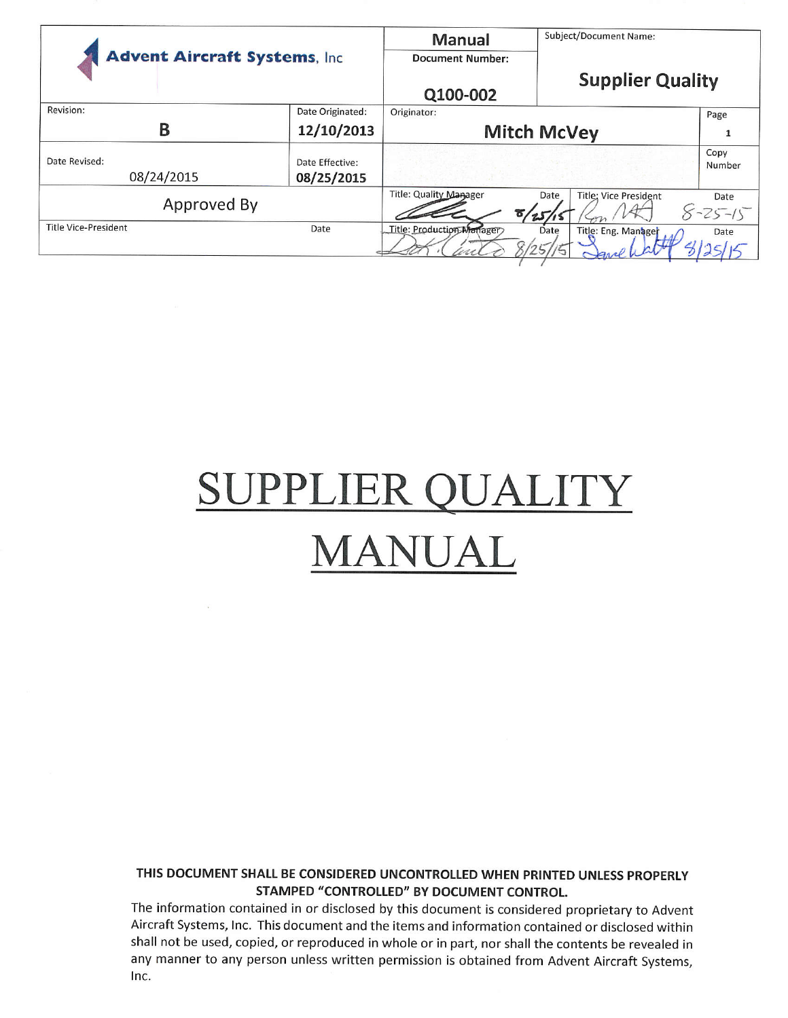| <b>Advent Aircraft Systems, Inc.</b> |                               | Manual<br><b>Document Number:</b> | Subject/Document Name:               |                       |
|--------------------------------------|-------------------------------|-----------------------------------|--------------------------------------|-----------------------|
|                                      |                               | Q100-002                          | <b>Supplier Quality</b>              |                       |
| Revision:                            | Date Originated:              | Originator:                       |                                      | Page                  |
| Β                                    | 12/10/2013                    |                                   | <b>Mitch McVey</b>                   |                       |
| Date Revised:<br>08/24/2015          | Date Effective:<br>08/25/2015 |                                   |                                      | Copy<br>Number        |
| Approved By                          |                               | Title: Quality Manager<br>8/25/   | <b>Title: Vice President</b><br>Date | Date<br>$8 - 25 - 15$ |
| <b>Title Vice-President</b>          | Date                          | Title: Production Manager         | Date<br>Title: Eng. Manager          | Date                  |

# SUPPLIER QUALITY **MANUAL**

#### THIS DOCUMENT SHALL BE CONSIDERED UNCONTROLLED WHEN PRINTED UNLESS PROPERLY STAMPED "CONTROLLED" BY DOCUMENT CONTROL.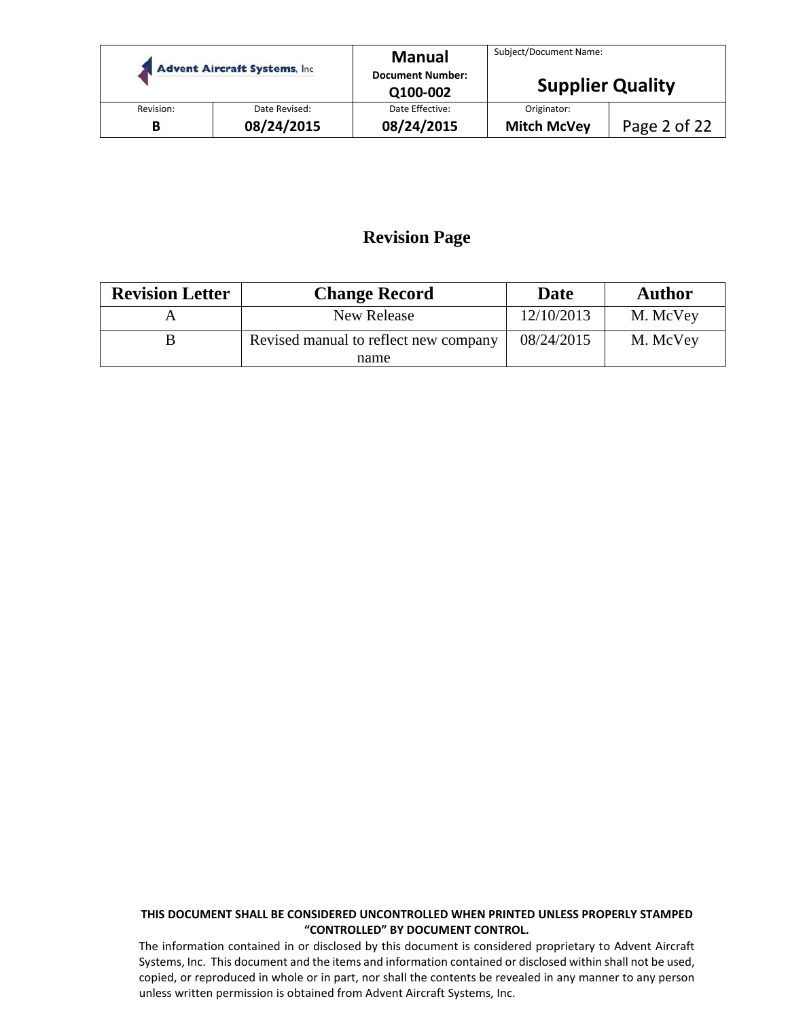|           | <b>Advent Aircraft Systems, Inc.</b> | <b>Manual</b><br><b>Document Number:</b><br>Q100-002 | Subject/Document Name:<br><b>Supplier Quality</b> |              |
|-----------|--------------------------------------|------------------------------------------------------|---------------------------------------------------|--------------|
| Revision: | Date Revised:                        | Date Effective:                                      | Originator:                                       |              |
| B         | 08/24/2015                           | 08/24/2015                                           | <b>Mitch McVey</b>                                | Page 2 of 22 |

# **Revision Page**

| <b>Revision Letter</b> | <b>Change Record</b>                  | <b>Date</b> | <b>Author</b> |
|------------------------|---------------------------------------|-------------|---------------|
|                        | New Release                           | 12/10/2013  | M. McVey      |
|                        | Revised manual to reflect new company |             | M. McVey      |
|                        | name                                  |             |               |

#### **THIS DOCUMENT SHALL BE CONSIDERED UNCONTROLLED WHEN PRINTED UNLESS PROPERLY STAMPED "CONTROLLED" BY DOCUMENT CONTROL.**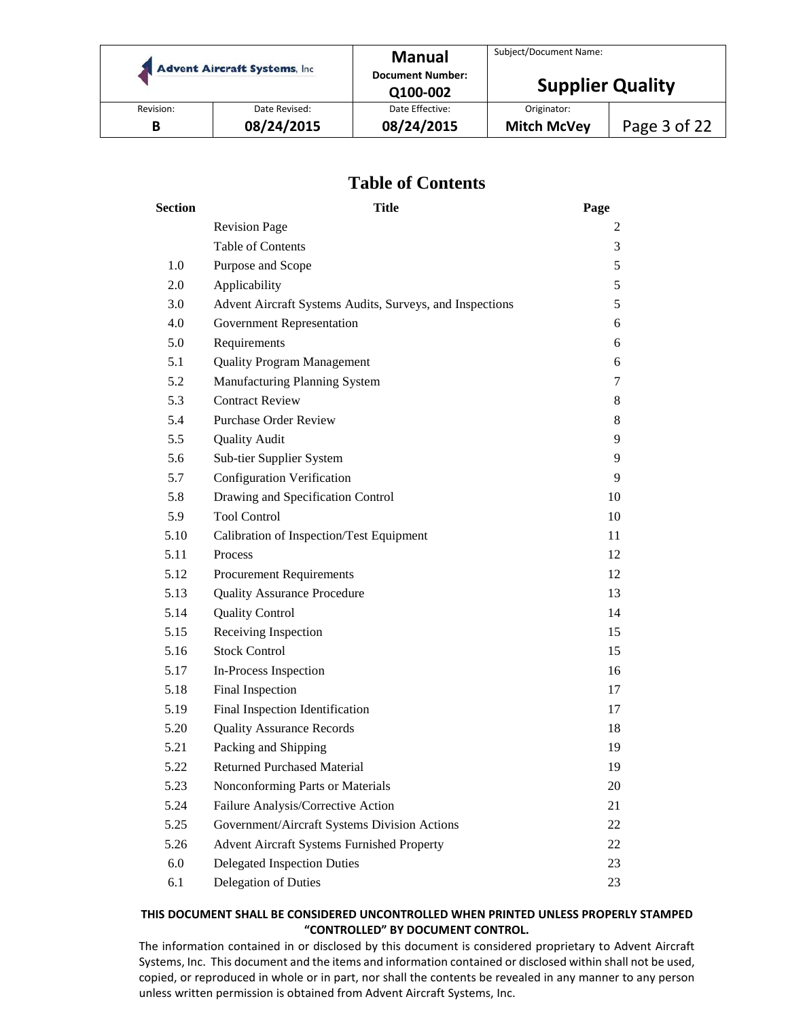|           | <b>Advent Aircraft Systems, Inc.</b> | <b>Manual</b><br><b>Document Number:</b><br>Q100-002 | Subject/Document Name:<br><b>Supplier Quality</b> |              |
|-----------|--------------------------------------|------------------------------------------------------|---------------------------------------------------|--------------|
| Revision: | Date Revised:                        | Date Effective:                                      | Originator:                                       |              |
| В         | 08/24/2015                           | 08/24/2015                                           | <b>Mitch McVey</b>                                | Page 3 of 22 |

## **Table of Contents**

| <b>Section</b> | <b>Title</b>                                             | Page |
|----------------|----------------------------------------------------------|------|
|                | <b>Revision Page</b>                                     | 2    |
|                | Table of Contents                                        | 3    |
| 1.0            | Purpose and Scope                                        | 5    |
| 2.0            | Applicability                                            | 5    |
| 3.0            | Advent Aircraft Systems Audits, Surveys, and Inspections | 5    |
| 4.0            | Government Representation                                | 6    |
| 5.0            | Requirements                                             | 6    |
| 5.1            | <b>Quality Program Management</b>                        | 6    |
| 5.2            | Manufacturing Planning System                            | 7    |
| 5.3            | <b>Contract Review</b>                                   | 8    |
| 5.4            | <b>Purchase Order Review</b>                             | 8    |
| 5.5            | <b>Quality Audit</b>                                     | 9    |
| 5.6            | Sub-tier Supplier System                                 | 9    |
| 5.7            | <b>Configuration Verification</b>                        | 9    |
| 5.8            | Drawing and Specification Control                        | 10   |
| 5.9            | <b>Tool Control</b>                                      | 10   |
| 5.10           | Calibration of Inspection/Test Equipment                 | 11   |
| 5.11           | Process                                                  | 12   |
| 5.12           | <b>Procurement Requirements</b>                          | 12   |
| 5.13           | <b>Quality Assurance Procedure</b>                       | 13   |
| 5.14           | <b>Quality Control</b>                                   | 14   |
| 5.15           | Receiving Inspection                                     | 15   |
| 5.16           | <b>Stock Control</b>                                     | 15   |
| 5.17           | In-Process Inspection                                    | 16   |
| 5.18           | Final Inspection                                         | 17   |
| 5.19           | Final Inspection Identification                          | 17   |
| 5.20           | <b>Quality Assurance Records</b>                         | 18   |
| 5.21           | Packing and Shipping                                     | 19   |
| 5.22           | <b>Returned Purchased Material</b>                       | 19   |
| 5.23           | Nonconforming Parts or Materials                         | 20   |
| 5.24           | Failure Analysis/Corrective Action                       | 21   |
| 5.25           | Government/Aircraft Systems Division Actions             | 22   |
| 5.26           | Advent Aircraft Systems Furnished Property               | 22   |
| 6.0            | <b>Delegated Inspection Duties</b>                       | 23   |
| 6.1            | Delegation of Duties                                     | 23   |

#### **THIS DOCUMENT SHALL BE CONSIDERED UNCONTROLLED WHEN PRINTED UNLESS PROPERLY STAMPED "CONTROLLED" BY DOCUMENT CONTROL.**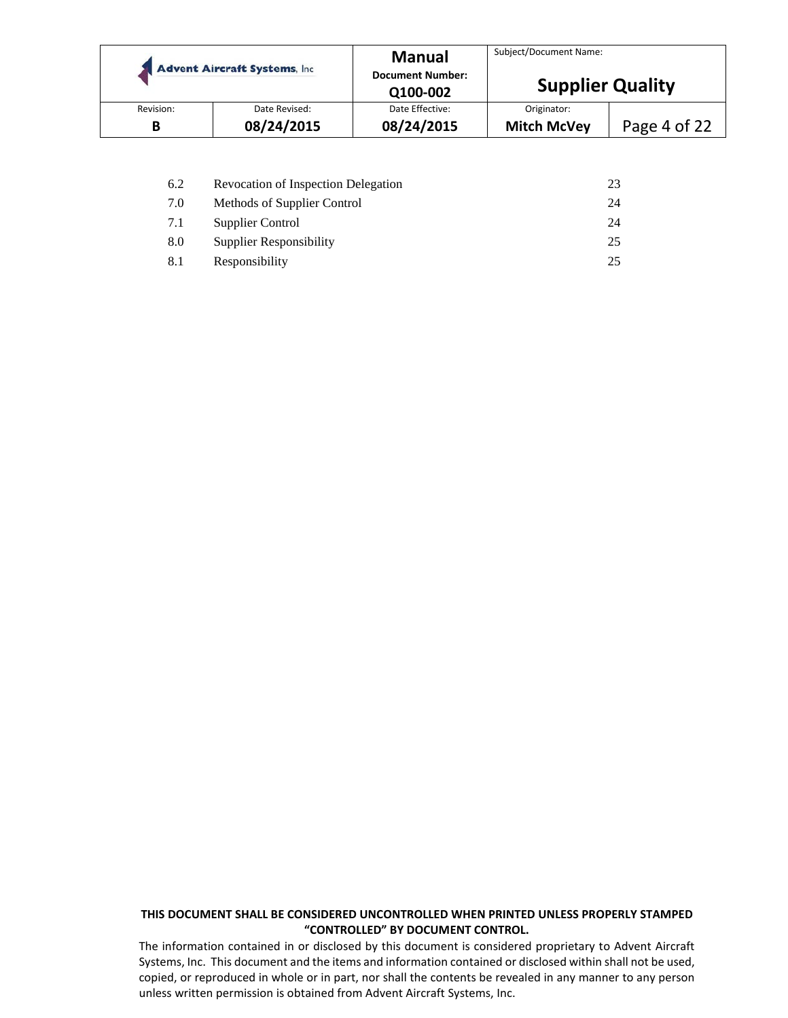|           | <b>Advent Aircraft Systems, Inc.</b> | <b>Manual</b><br><b>Document Number:</b><br>Q100-002 | Subject/Document Name:<br><b>Supplier Quality</b> |              |
|-----------|--------------------------------------|------------------------------------------------------|---------------------------------------------------|--------------|
| Revision: | Date Revised:                        | Date Effective:                                      | Originator:                                       |              |
| В         | 08/24/2015                           | 08/24/2015                                           | <b>Mitch McVey</b>                                | Page 4 of 22 |

| 6.2 | <b>Revocation of Inspection Delegation</b> | 23 |
|-----|--------------------------------------------|----|
| 7.0 | Methods of Supplier Control                | 24 |
| 7.1 | Supplier Control                           | 24 |
| 8.0 | <b>Supplier Responsibility</b>             | 25 |
| 8.1 | Responsibility                             |    |

#### **THIS DOCUMENT SHALL BE CONSIDERED UNCONTROLLED WHEN PRINTED UNLESS PROPERLY STAMPED "CONTROLLED" BY DOCUMENT CONTROL.**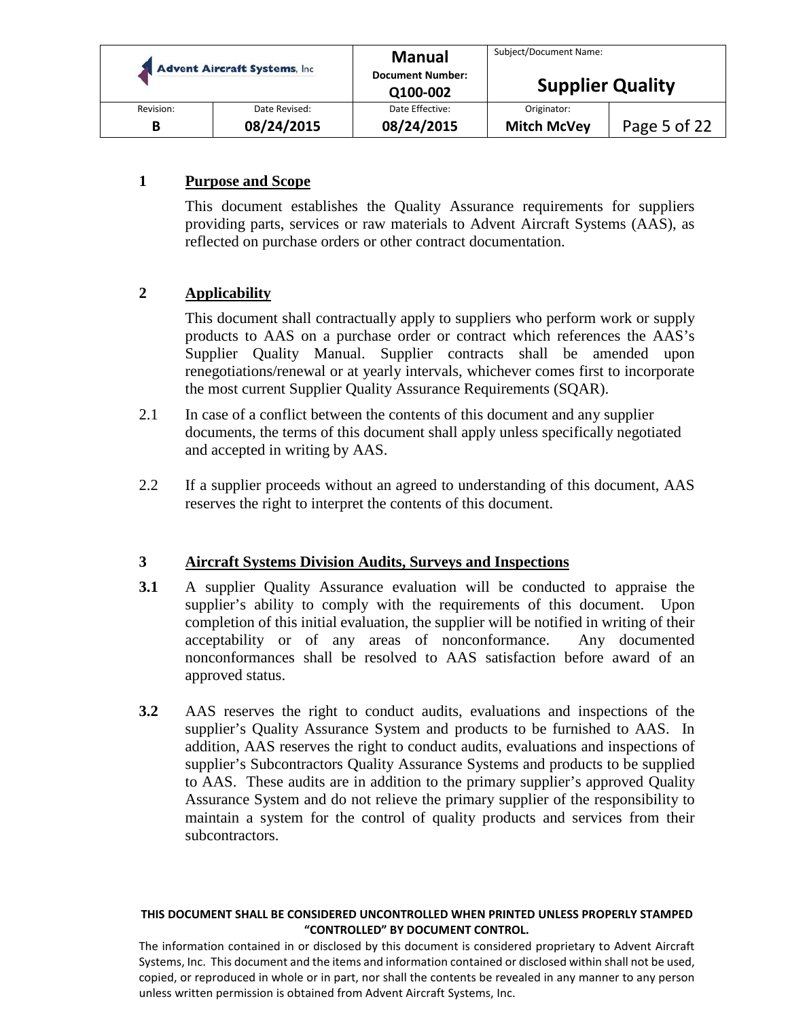| <b>Advent Aircraft Systems, Inc.</b> |               | <b>Manual</b>           | Subject/Document Name:  |              |
|--------------------------------------|---------------|-------------------------|-------------------------|--------------|
|                                      |               | <b>Document Number:</b> |                         |              |
|                                      |               | Q100-002                | <b>Supplier Quality</b> |              |
| Revision:                            | Date Revised: | Date Effective:         | Originator:             |              |
| В                                    | 08/24/2015    | 08/24/2015              | <b>Mitch McVey</b>      | Page 5 of 22 |

## **1 Purpose and Scope**

This document establishes the Quality Assurance requirements for suppliers providing parts, services or raw materials to Advent Aircraft Systems (AAS), as reflected on purchase orders or other contract documentation.

## **2 Applicability**

This document shall contractually apply to suppliers who perform work or supply products to AAS on a purchase order or contract which references the AAS's Supplier Quality Manual. Supplier contracts shall be amended upon renegotiations/renewal or at yearly intervals, whichever comes first to incorporate the most current Supplier Quality Assurance Requirements (SQAR).

- 2.1 In case of a conflict between the contents of this document and any supplier documents, the terms of this document shall apply unless specifically negotiated and accepted in writing by AAS.
- 2.2 If a supplier proceeds without an agreed to understanding of this document, AAS reserves the right to interpret the contents of this document.

#### **3 Aircraft Systems Division Audits, Surveys and Inspections**

- **3.1** A supplier Quality Assurance evaluation will be conducted to appraise the supplier's ability to comply with the requirements of this document. Upon completion of this initial evaluation, the supplier will be notified in writing of their acceptability or of any areas of nonconformance. Any documented nonconformances shall be resolved to AAS satisfaction before award of an approved status.
- **3.2** AAS reserves the right to conduct audits, evaluations and inspections of the supplier's Quality Assurance System and products to be furnished to AAS. In addition, AAS reserves the right to conduct audits, evaluations and inspections of supplier's Subcontractors Quality Assurance Systems and products to be supplied to AAS. These audits are in addition to the primary supplier's approved Quality Assurance System and do not relieve the primary supplier of the responsibility to maintain a system for the control of quality products and services from their subcontractors.

#### **THIS DOCUMENT SHALL BE CONSIDERED UNCONTROLLED WHEN PRINTED UNLESS PROPERLY STAMPED "CONTROLLED" BY DOCUMENT CONTROL.**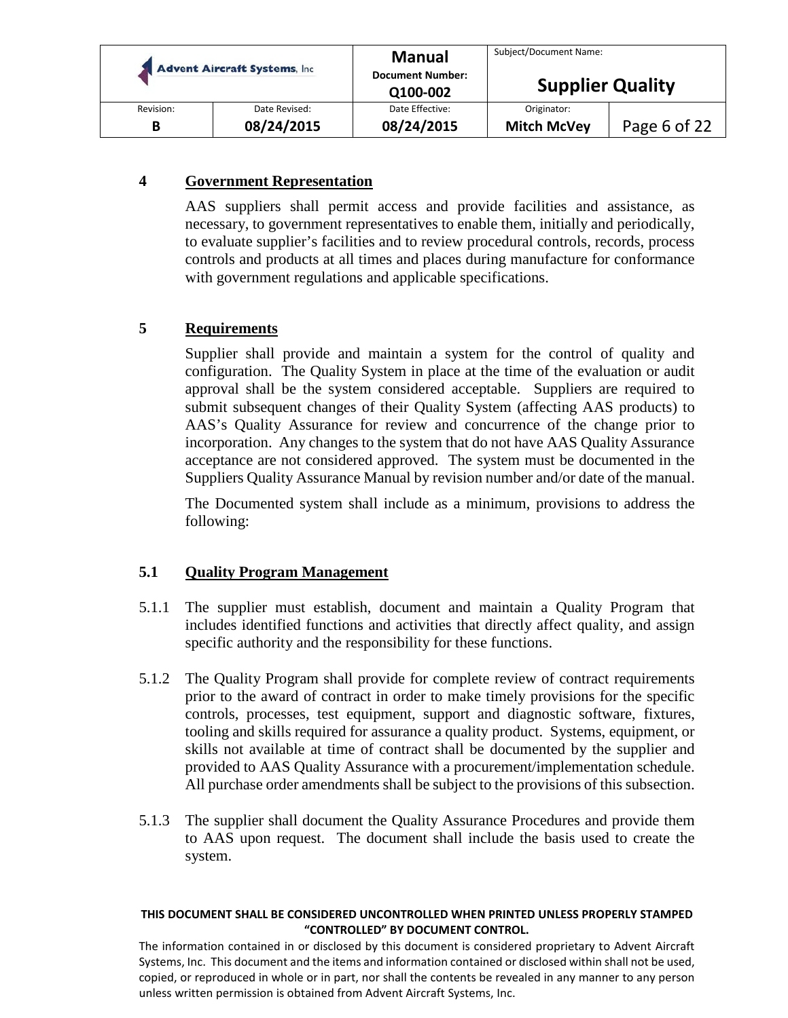|           | <b>Advent Aircraft Systems, Inc.</b> |                 | Subject/Document Name:<br><b>Supplier Quality</b> |              |
|-----------|--------------------------------------|-----------------|---------------------------------------------------|--------------|
| Revision: | Date Revised:                        | Date Effective: | Originator:                                       |              |
| В         | 08/24/2015                           | 08/24/2015      | <b>Mitch McVey</b>                                | Page 6 of 22 |

## **4 Government Representation**

AAS suppliers shall permit access and provide facilities and assistance, as necessary, to government representatives to enable them, initially and periodically, to evaluate supplier's facilities and to review procedural controls, records, process controls and products at all times and places during manufacture for conformance with government regulations and applicable specifications.

## **5 Requirements**

Supplier shall provide and maintain a system for the control of quality and configuration. The Quality System in place at the time of the evaluation or audit approval shall be the system considered acceptable. Suppliers are required to submit subsequent changes of their Quality System (affecting AAS products) to AAS's Quality Assurance for review and concurrence of the change prior to incorporation. Any changes to the system that do not have AAS Quality Assurance acceptance are not considered approved. The system must be documented in the Suppliers Quality Assurance Manual by revision number and/or date of the manual.

The Documented system shall include as a minimum, provisions to address the following:

## **5.1 Quality Program Management**

- 5.1.1 The supplier must establish, document and maintain a Quality Program that includes identified functions and activities that directly affect quality, and assign specific authority and the responsibility for these functions.
- 5.1.2 The Quality Program shall provide for complete review of contract requirements prior to the award of contract in order to make timely provisions for the specific controls, processes, test equipment, support and diagnostic software, fixtures, tooling and skills required for assurance a quality product. Systems, equipment, or skills not available at time of contract shall be documented by the supplier and provided to AAS Quality Assurance with a procurement/implementation schedule. All purchase order amendments shall be subject to the provisions of this subsection.
- 5.1.3 The supplier shall document the Quality Assurance Procedures and provide them to AAS upon request. The document shall include the basis used to create the system.

#### **THIS DOCUMENT SHALL BE CONSIDERED UNCONTROLLED WHEN PRINTED UNLESS PROPERLY STAMPED "CONTROLLED" BY DOCUMENT CONTROL.**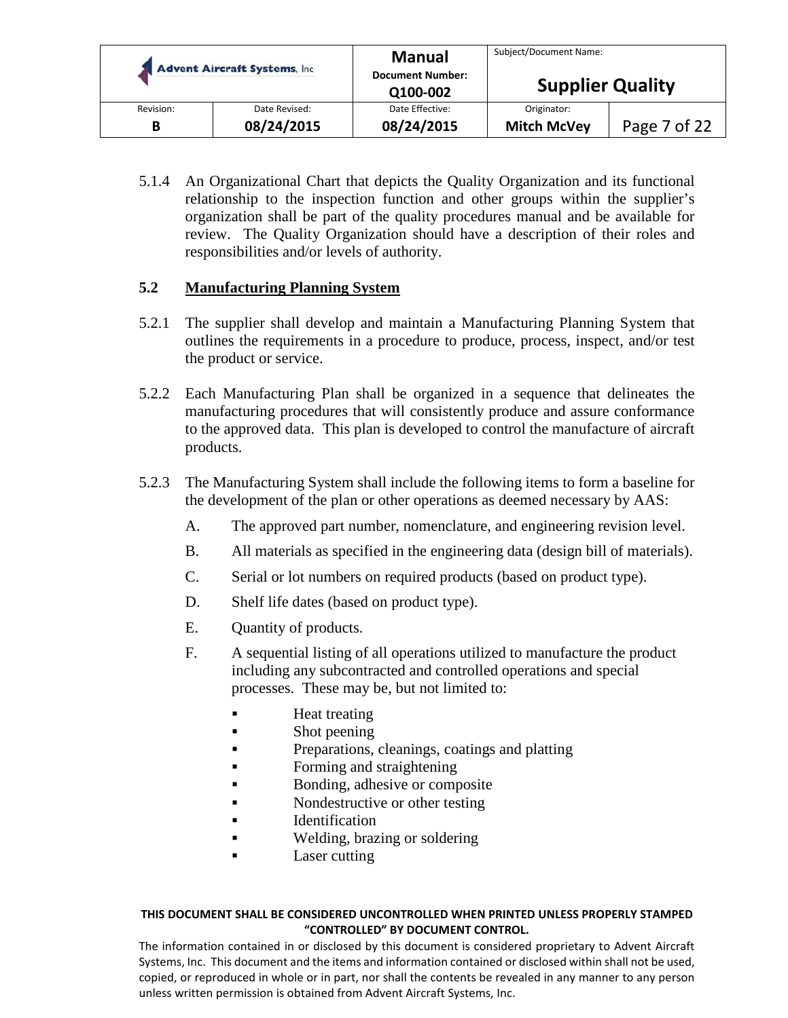| <b>Advent Aircraft Systems, Inc.</b> |               | <b>Manual</b><br><b>Document Number:</b><br>Q100-002 | Subject/Document Name:<br><b>Supplier Quality</b> |              |
|--------------------------------------|---------------|------------------------------------------------------|---------------------------------------------------|--------------|
| Revision:                            | Date Revised: | Date Effective:                                      | Originator:                                       | Page 7 of 22 |
| B                                    | 08/24/2015    | 08/24/2015                                           | <b>Mitch McVey</b>                                |              |

5.1.4 An Organizational Chart that depicts the Quality Organization and its functional relationship to the inspection function and other groups within the supplier's organization shall be part of the quality procedures manual and be available for review. The Quality Organization should have a description of their roles and responsibilities and/or levels of authority.

## **5.2 Manufacturing Planning System**

- 5.2.1 The supplier shall develop and maintain a Manufacturing Planning System that outlines the requirements in a procedure to produce, process, inspect, and/or test the product or service.
- 5.2.2 Each Manufacturing Plan shall be organized in a sequence that delineates the manufacturing procedures that will consistently produce and assure conformance to the approved data. This plan is developed to control the manufacture of aircraft products.
- 5.2.3 The Manufacturing System shall include the following items to form a baseline for the development of the plan or other operations as deemed necessary by AAS:
	- A. The approved part number, nomenclature, and engineering revision level.
	- B. All materials as specified in the engineering data (design bill of materials).
	- C. Serial or lot numbers on required products (based on product type).
	- D. Shelf life dates (based on product type).
	- E. Quantity of products.
	- F. A sequential listing of all operations utilized to manufacture the product including any subcontracted and controlled operations and special processes. These may be, but not limited to:
		- Heat treating
		- Shot peening
		- Preparations, cleanings, coatings and platting
		- Forming and straightening
		- Bonding, adhesive or composite
		- Nondestructive or other testing
		- **IDENTIFICATION**
		- Welding, brazing or soldering
		- Laser cutting

#### **THIS DOCUMENT SHALL BE CONSIDERED UNCONTROLLED WHEN PRINTED UNLESS PROPERLY STAMPED "CONTROLLED" BY DOCUMENT CONTROL.**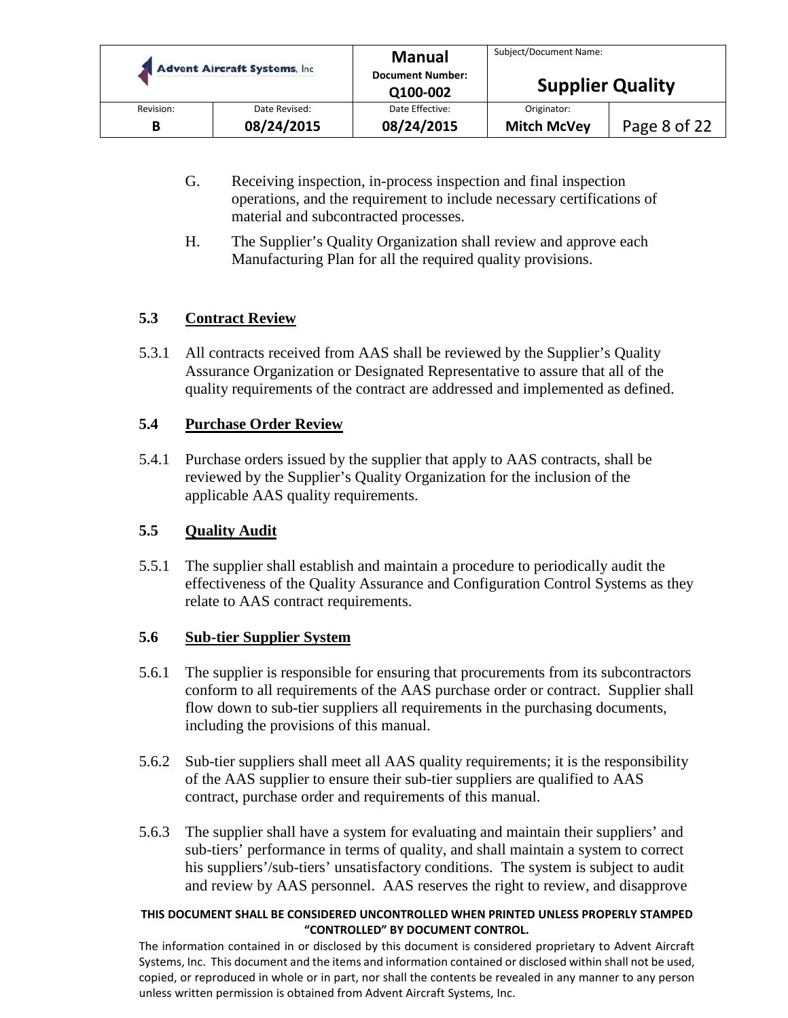|           | <b>Advent Aircraft Systems, Inc.</b> | <b>Manual</b><br><b>Document Number:</b><br>Q100-002 | Subject/Document Name:<br><b>Supplier Quality</b> |              |
|-----------|--------------------------------------|------------------------------------------------------|---------------------------------------------------|--------------|
| Revision: | Date Revised:                        | Date Effective:                                      | Originator:                                       |              |
| В         | 08/24/2015                           | 08/24/2015                                           | <b>Mitch McVey</b>                                | Page 8 of 22 |

- G. Receiving inspection, in-process inspection and final inspection operations, and the requirement to include necessary certifications of material and subcontracted processes.
- H. The Supplier's Quality Organization shall review and approve each Manufacturing Plan for all the required quality provisions.

## **5.3 Contract Review**

5.3.1 All contracts received from AAS shall be reviewed by the Supplier's Quality Assurance Organization or Designated Representative to assure that all of the quality requirements of the contract are addressed and implemented as defined.

## **5.4 Purchase Order Review**

5.4.1 Purchase orders issued by the supplier that apply to AAS contracts, shall be reviewed by the Supplier's Quality Organization for the inclusion of the applicable AAS quality requirements.

## **5.5 Quality Audit**

5.5.1 The supplier shall establish and maintain a procedure to periodically audit the effectiveness of the Quality Assurance and Configuration Control Systems as they relate to AAS contract requirements.

## **5.6 Sub-tier Supplier System**

- 5.6.1 The supplier is responsible for ensuring that procurements from its subcontractors conform to all requirements of the AAS purchase order or contract. Supplier shall flow down to sub-tier suppliers all requirements in the purchasing documents, including the provisions of this manual.
- 5.6.2 Sub-tier suppliers shall meet all AAS quality requirements; it is the responsibility of the AAS supplier to ensure their sub-tier suppliers are qualified to AAS contract, purchase order and requirements of this manual.
- 5.6.3 The supplier shall have a system for evaluating and maintain their suppliers' and sub-tiers' performance in terms of quality, and shall maintain a system to correct his suppliers'/sub-tiers' unsatisfactory conditions. The system is subject to audit and review by AAS personnel. AAS reserves the right to review, and disapprove

#### **THIS DOCUMENT SHALL BE CONSIDERED UNCONTROLLED WHEN PRINTED UNLESS PROPERLY STAMPED "CONTROLLED" BY DOCUMENT CONTROL.**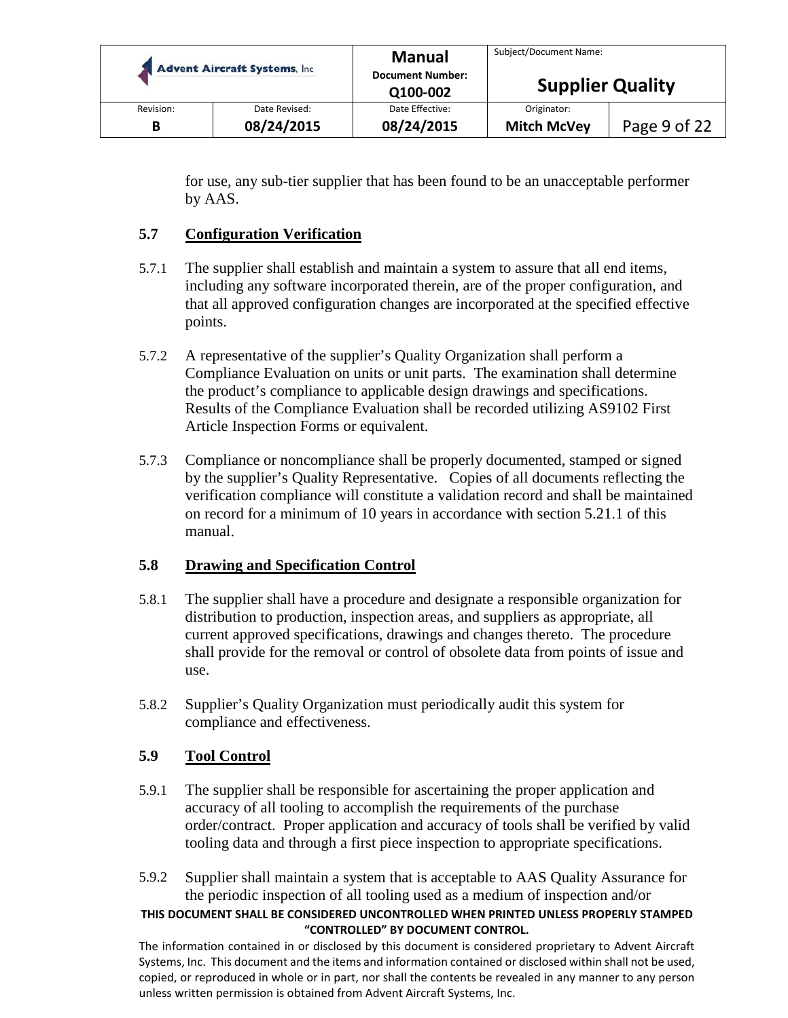|           | <b>Advent Aircraft Systems, Inc.</b> | <b>Manual</b><br><b>Document Number:</b><br>Q100-002 | Subject/Document Name:<br><b>Supplier Quality</b> |              |
|-----------|--------------------------------------|------------------------------------------------------|---------------------------------------------------|--------------|
| Revision: | Date Revised:                        | Date Effective:                                      | Originator:                                       |              |
| B         | 08/24/2015                           | 08/24/2015                                           | <b>Mitch McVey</b>                                | Page 9 of 22 |

for use, any sub-tier supplier that has been found to be an unacceptable performer by AAS.

## **5.7 Configuration Verification**

- 5.7.1 The supplier shall establish and maintain a system to assure that all end items, including any software incorporated therein, are of the proper configuration, and that all approved configuration changes are incorporated at the specified effective points.
- 5.7.2 A representative of the supplier's Quality Organization shall perform a Compliance Evaluation on units or unit parts. The examination shall determine the product's compliance to applicable design drawings and specifications. Results of the Compliance Evaluation shall be recorded utilizing AS9102 First Article Inspection Forms or equivalent.
- 5.7.3 Compliance or noncompliance shall be properly documented, stamped or signed by the supplier's Quality Representative. Copies of all documents reflecting the verification compliance will constitute a validation record and shall be maintained on record for a minimum of 10 years in accordance with section 5.21.1 of this manual.

## **5.8 Drawing and Specification Control**

- 5.8.1 The supplier shall have a procedure and designate a responsible organization for distribution to production, inspection areas, and suppliers as appropriate, all current approved specifications, drawings and changes thereto. The procedure shall provide for the removal or control of obsolete data from points of issue and use.
- 5.8.2 Supplier's Quality Organization must periodically audit this system for compliance and effectiveness.

## **5.9 Tool Control**

- 5.9.1 The supplier shall be responsible for ascertaining the proper application and accuracy of all tooling to accomplish the requirements of the purchase order/contract. Proper application and accuracy of tools shall be verified by valid tooling data and through a first piece inspection to appropriate specifications.
- 5.9.2 Supplier shall maintain a system that is acceptable to AAS Quality Assurance for the periodic inspection of all tooling used as a medium of inspection and/or

#### **THIS DOCUMENT SHALL BE CONSIDERED UNCONTROLLED WHEN PRINTED UNLESS PROPERLY STAMPED "CONTROLLED" BY DOCUMENT CONTROL.**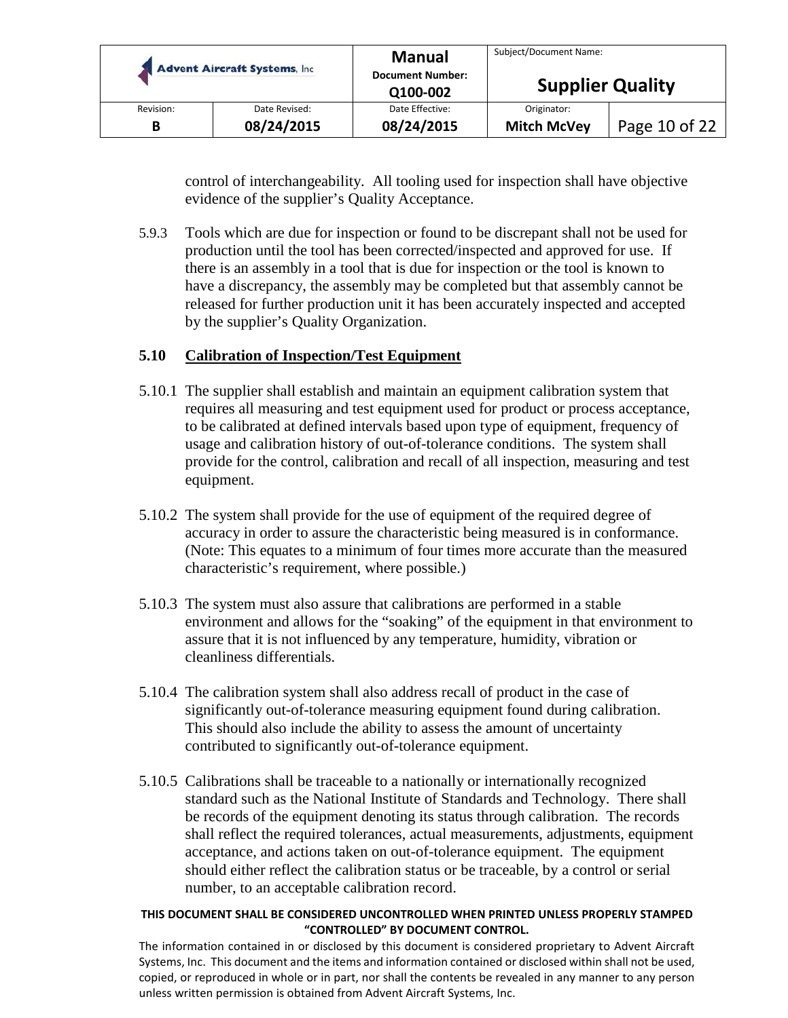|           | <b>Advent Aircraft Systems, Inc.</b> | <b>Manual</b><br><b>Document Number:</b> | Subject/Document Name:<br><b>Supplier Quality</b> |               |
|-----------|--------------------------------------|------------------------------------------|---------------------------------------------------|---------------|
|           |                                      | Q100-002                                 |                                                   |               |
| Revision: | Date Revised:                        | Date Effective:                          | Originator:                                       |               |
| В         | 08/24/2015                           | 08/24/2015                               | <b>Mitch McVey</b>                                | Page 10 of 22 |

control of interchangeability. All tooling used for inspection shall have objective evidence of the supplier's Quality Acceptance.

5.9.3 Tools which are due for inspection or found to be discrepant shall not be used for production until the tool has been corrected/inspected and approved for use. If there is an assembly in a tool that is due for inspection or the tool is known to have a discrepancy, the assembly may be completed but that assembly cannot be released for further production unit it has been accurately inspected and accepted by the supplier's Quality Organization.

## **5.10 Calibration of Inspection/Test Equipment**

- 5.10.1 The supplier shall establish and maintain an equipment calibration system that requires all measuring and test equipment used for product or process acceptance, to be calibrated at defined intervals based upon type of equipment, frequency of usage and calibration history of out-of-tolerance conditions. The system shall provide for the control, calibration and recall of all inspection, measuring and test equipment.
- 5.10.2 The system shall provide for the use of equipment of the required degree of accuracy in order to assure the characteristic being measured is in conformance. (Note: This equates to a minimum of four times more accurate than the measured characteristic's requirement, where possible.)
- 5.10.3 The system must also assure that calibrations are performed in a stable environment and allows for the "soaking" of the equipment in that environment to assure that it is not influenced by any temperature, humidity, vibration or cleanliness differentials.
- 5.10.4 The calibration system shall also address recall of product in the case of significantly out-of-tolerance measuring equipment found during calibration. This should also include the ability to assess the amount of uncertainty contributed to significantly out-of-tolerance equipment.
- 5.10.5 Calibrations shall be traceable to a nationally or internationally recognized standard such as the National Institute of Standards and Technology. There shall be records of the equipment denoting its status through calibration. The records shall reflect the required tolerances, actual measurements, adjustments, equipment acceptance, and actions taken on out-of-tolerance equipment. The equipment should either reflect the calibration status or be traceable, by a control or serial number, to an acceptable calibration record.

#### **THIS DOCUMENT SHALL BE CONSIDERED UNCONTROLLED WHEN PRINTED UNLESS PROPERLY STAMPED "CONTROLLED" BY DOCUMENT CONTROL.**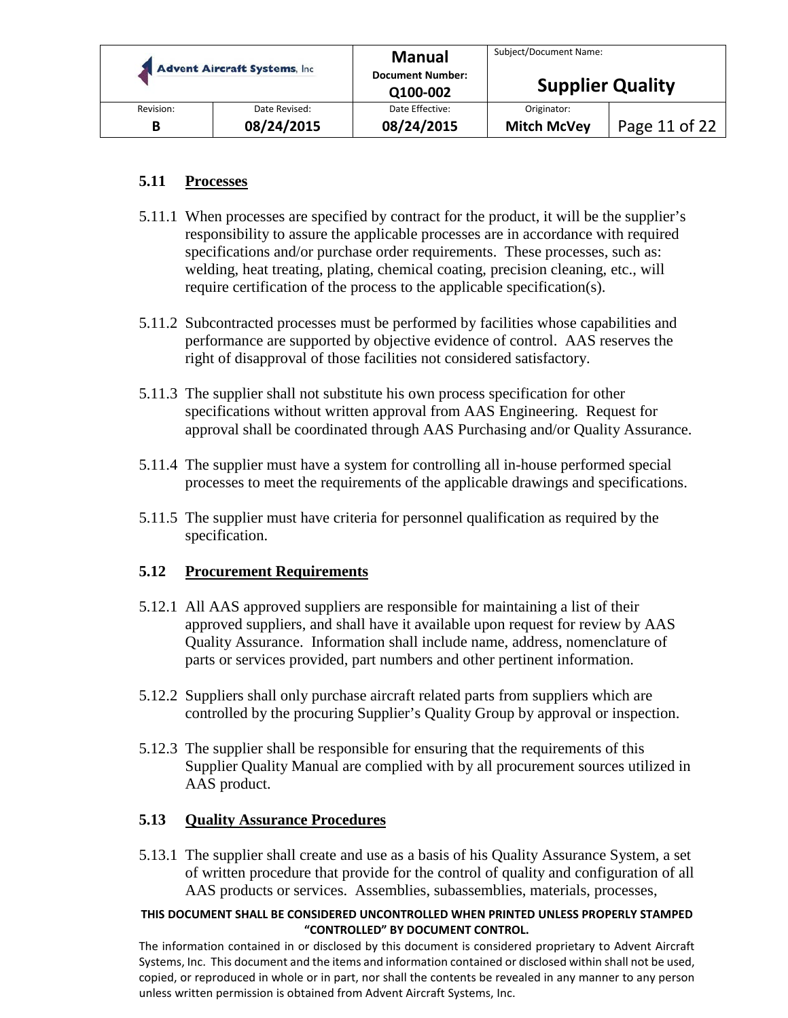|           | <b>Advent Aircraft Systems, Inc.</b> | <b>Manual</b><br><b>Document Number:</b><br>Q100-002 | Subject/Document Name:<br><b>Supplier Quality</b> |               |
|-----------|--------------------------------------|------------------------------------------------------|---------------------------------------------------|---------------|
| Revision: | Date Revised:                        | Date Effective:                                      | Originator:                                       |               |
| В         | 08/24/2015                           | 08/24/2015                                           | <b>Mitch McVey</b>                                | Page 11 of 22 |

## **5.11 Processes**

- 5.11.1 When processes are specified by contract for the product, it will be the supplier's responsibility to assure the applicable processes are in accordance with required specifications and/or purchase order requirements. These processes, such as: welding, heat treating, plating, chemical coating, precision cleaning, etc., will require certification of the process to the applicable specification(s).
- 5.11.2 Subcontracted processes must be performed by facilities whose capabilities and performance are supported by objective evidence of control. AAS reserves the right of disapproval of those facilities not considered satisfactory.
- 5.11.3 The supplier shall not substitute his own process specification for other specifications without written approval from AAS Engineering. Request for approval shall be coordinated through AAS Purchasing and/or Quality Assurance.
- 5.11.4 The supplier must have a system for controlling all in-house performed special processes to meet the requirements of the applicable drawings and specifications.
- 5.11.5 The supplier must have criteria for personnel qualification as required by the specification.

#### **5.12 Procurement Requirements**

- 5.12.1 All AAS approved suppliers are responsible for maintaining a list of their approved suppliers, and shall have it available upon request for review by AAS Quality Assurance. Information shall include name, address, nomenclature of parts or services provided, part numbers and other pertinent information.
- 5.12.2 Suppliers shall only purchase aircraft related parts from suppliers which are controlled by the procuring Supplier's Quality Group by approval or inspection.
- 5.12.3 The supplier shall be responsible for ensuring that the requirements of this Supplier Quality Manual are complied with by all procurement sources utilized in AAS product.

## **5.13 Quality Assurance Procedures**

5.13.1 The supplier shall create and use as a basis of his Quality Assurance System, a set of written procedure that provide for the control of quality and configuration of all AAS products or services. Assemblies, subassemblies, materials, processes,

#### **THIS DOCUMENT SHALL BE CONSIDERED UNCONTROLLED WHEN PRINTED UNLESS PROPERLY STAMPED "CONTROLLED" BY DOCUMENT CONTROL.**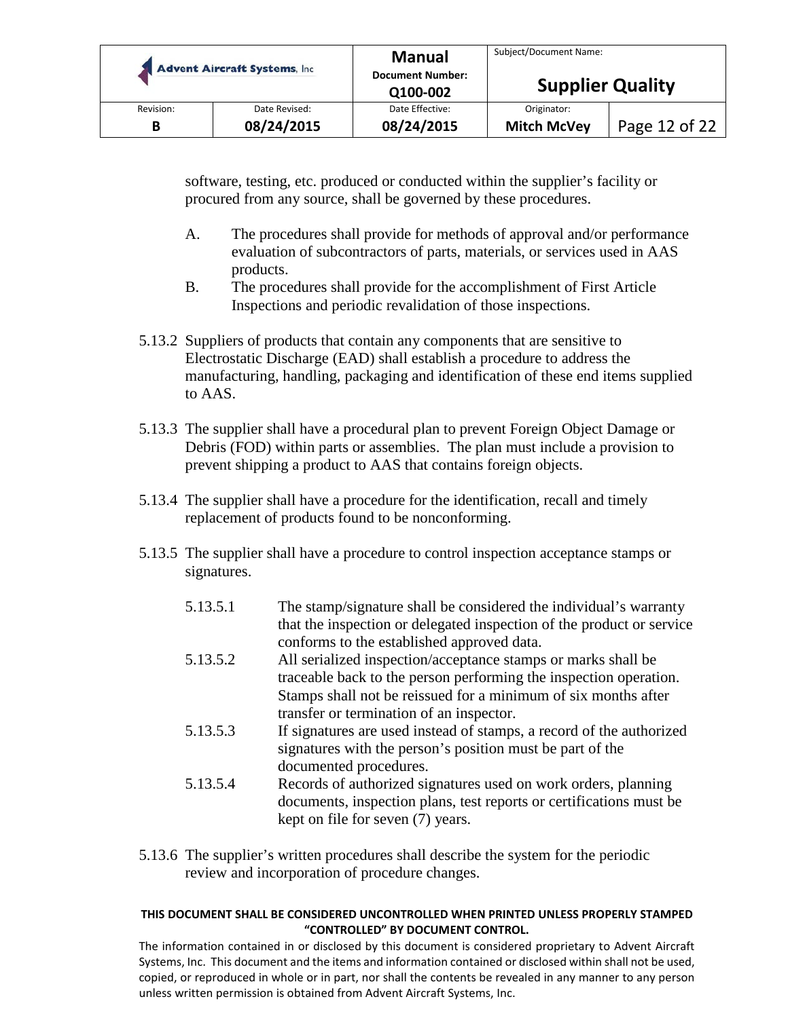| <b>Advent Aircraft Systems, Inc.</b> |               | <b>Manual</b><br><b>Document Number:</b> | Subject/Document Name:  |               |
|--------------------------------------|---------------|------------------------------------------|-------------------------|---------------|
|                                      |               | Q100-002                                 | <b>Supplier Quality</b> |               |
| Revision:                            | Date Revised: | Date Effective:                          | Originator:             |               |
| B                                    | 08/24/2015    | 08/24/2015                               | <b>Mitch McVey</b>      | Page 12 of 22 |

software, testing, etc. produced or conducted within the supplier's facility or procured from any source, shall be governed by these procedures.

- A. The procedures shall provide for methods of approval and/or performance evaluation of subcontractors of parts, materials, or services used in AAS products.
- B. The procedures shall provide for the accomplishment of First Article Inspections and periodic revalidation of those inspections.
- 5.13.2 Suppliers of products that contain any components that are sensitive to Electrostatic Discharge (EAD) shall establish a procedure to address the manufacturing, handling, packaging and identification of these end items supplied to AAS.
- 5.13.3 The supplier shall have a procedural plan to prevent Foreign Object Damage or Debris (FOD) within parts or assemblies. The plan must include a provision to prevent shipping a product to AAS that contains foreign objects.
- 5.13.4 The supplier shall have a procedure for the identification, recall and timely replacement of products found to be nonconforming.
- 5.13.5 The supplier shall have a procedure to control inspection acceptance stamps or signatures.
	- 5.13.5.1 The stamp/signature shall be considered the individual's warranty that the inspection or delegated inspection of the product or service conforms to the established approved data.
	- 5.13.5.2 All serialized inspection/acceptance stamps or marks shall be traceable back to the person performing the inspection operation. Stamps shall not be reissued for a minimum of six months after transfer or termination of an inspector.
	- 5.13.5.3 If signatures are used instead of stamps, a record of the authorized signatures with the person's position must be part of the documented procedures.
	- 5.13.5.4 Records of authorized signatures used on work orders, planning documents, inspection plans, test reports or certifications must be kept on file for seven (7) years.
- 5.13.6 The supplier's written procedures shall describe the system for the periodic review and incorporation of procedure changes.

#### **THIS DOCUMENT SHALL BE CONSIDERED UNCONTROLLED WHEN PRINTED UNLESS PROPERLY STAMPED "CONTROLLED" BY DOCUMENT CONTROL.**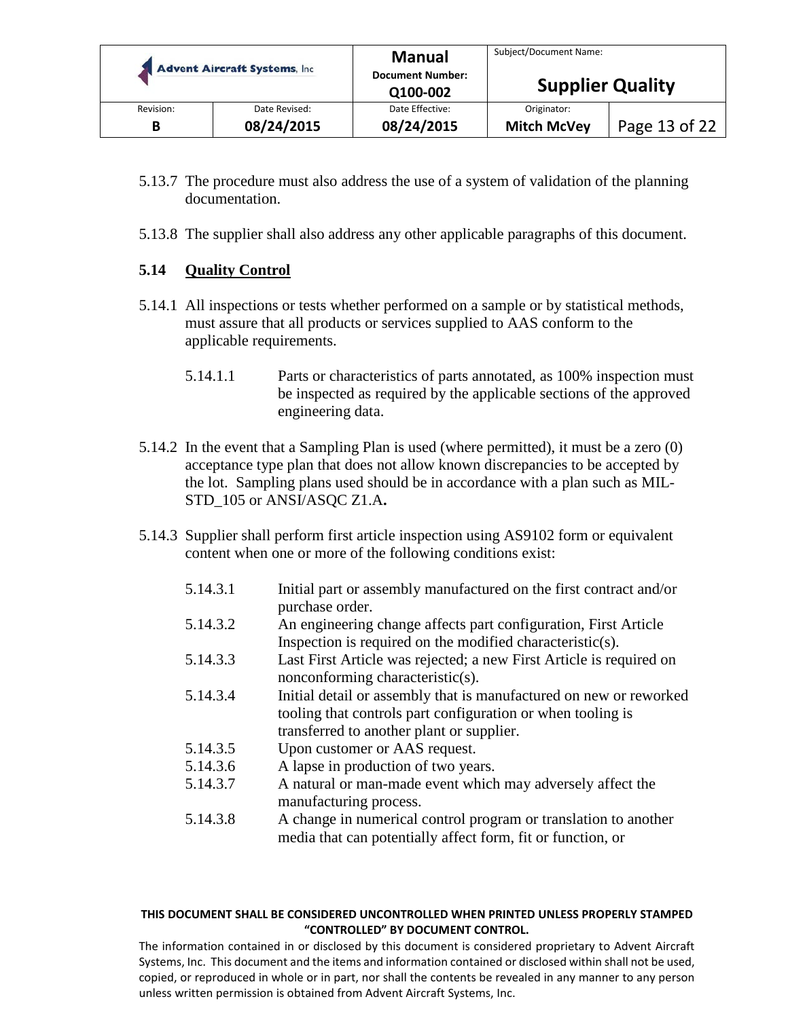|           | <b>Advent Aircraft Systems, Inc.</b> | <b>Manual</b><br><b>Document Number:</b><br>Q100-002 | Subject/Document Name:<br><b>Supplier Quality</b> |               |
|-----------|--------------------------------------|------------------------------------------------------|---------------------------------------------------|---------------|
| Revision: | Date Revised:                        | Date Effective:                                      | Originator:                                       |               |
| B         | 08/24/2015                           | 08/24/2015                                           | <b>Mitch McVey</b>                                | Page 13 of 22 |

- 5.13.7 The procedure must also address the use of a system of validation of the planning documentation.
- 5.13.8 The supplier shall also address any other applicable paragraphs of this document.

## **5.14 Quality Control**

- 5.14.1 All inspections or tests whether performed on a sample or by statistical methods, must assure that all products or services supplied to AAS conform to the applicable requirements.
	- 5.14.1.1 Parts or characteristics of parts annotated, as 100% inspection must be inspected as required by the applicable sections of the approved engineering data.
- 5.14.2 In the event that a Sampling Plan is used (where permitted), it must be a zero (0) acceptance type plan that does not allow known discrepancies to be accepted by the lot. Sampling plans used should be in accordance with a plan such as MIL-STD\_105 or ANSI/ASQC Z1.A**.**
- 5.14.3 Supplier shall perform first article inspection using AS9102 form or equivalent content when one or more of the following conditions exist:
	- 5.14.3.1 Initial part or assembly manufactured on the first contract and/or purchase order.
	- 5.14.3.2 An engineering change affects part configuration, First Article Inspection is required on the modified characteristic(s).
	- 5.14.3.3 Last First Article was rejected; a new First Article is required on nonconforming characteristic(s).
	- 5.14.3.4 Initial detail or assembly that is manufactured on new or reworked tooling that controls part configuration or when tooling is transferred to another plant or supplier.
	- 5.14.3.5 Upon customer or AAS request.
	- 5.14.3.6 A lapse in production of two years.
	- 5.14.3.7 A natural or man-made event which may adversely affect the manufacturing process.
	- 5.14.3.8 A change in numerical control program or translation to another media that can potentially affect form, fit or function, or

#### **THIS DOCUMENT SHALL BE CONSIDERED UNCONTROLLED WHEN PRINTED UNLESS PROPERLY STAMPED "CONTROLLED" BY DOCUMENT CONTROL.**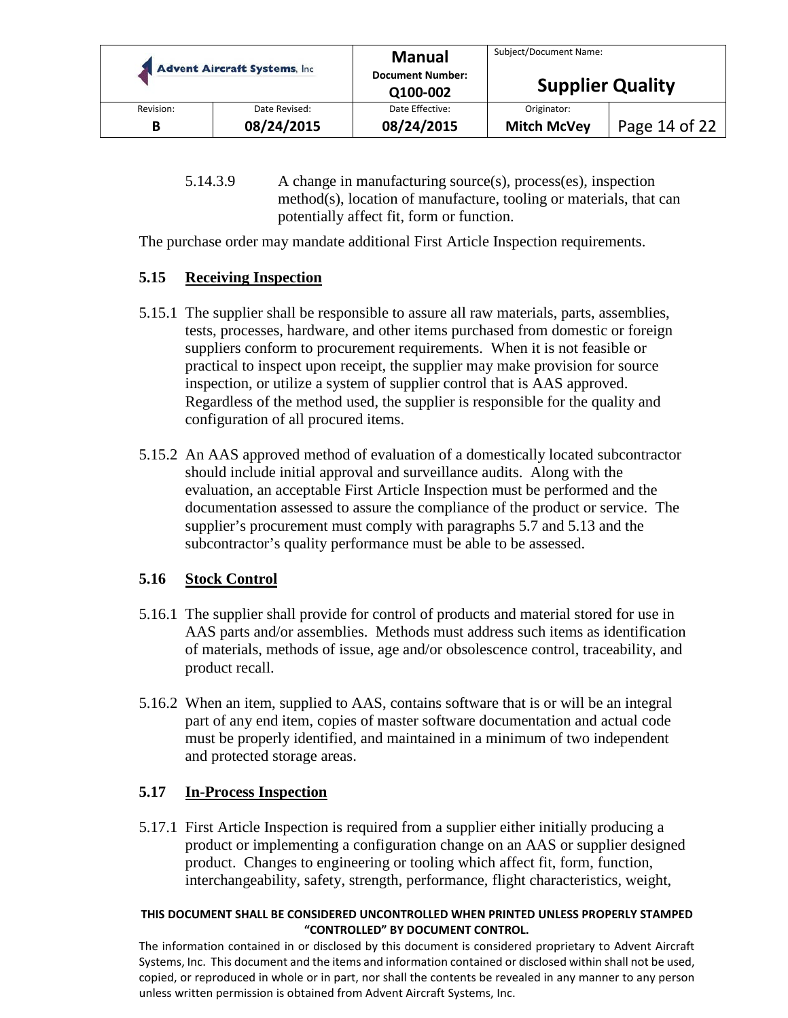|           | <b>Advent Aircraft Systems, Inc.</b> | <b>Manual</b><br><b>Document Number:</b><br>Q100-002 | Subject/Document Name:<br><b>Supplier Quality</b> |               |
|-----------|--------------------------------------|------------------------------------------------------|---------------------------------------------------|---------------|
| Revision: | Date Revised:                        | Date Effective:                                      | Originator:                                       |               |
| В         | 08/24/2015                           | 08/24/2015                                           | <b>Mitch McVey</b>                                | Page 14 of 22 |

5.14.3.9 A change in manufacturing source(s), process(es), inspection method(s), location of manufacture, tooling or materials, that can potentially affect fit, form or function.

The purchase order may mandate additional First Article Inspection requirements.

## **5.15 Receiving Inspection**

- 5.15.1 The supplier shall be responsible to assure all raw materials, parts, assemblies, tests, processes, hardware, and other items purchased from domestic or foreign suppliers conform to procurement requirements. When it is not feasible or practical to inspect upon receipt, the supplier may make provision for source inspection, or utilize a system of supplier control that is AAS approved. Regardless of the method used, the supplier is responsible for the quality and configuration of all procured items.
- 5.15.2 An AAS approved method of evaluation of a domestically located subcontractor should include initial approval and surveillance audits. Along with the evaluation, an acceptable First Article Inspection must be performed and the documentation assessed to assure the compliance of the product or service. The supplier's procurement must comply with paragraphs 5.7 and 5.13 and the subcontractor's quality performance must be able to be assessed.

## **5.16 Stock Control**

- 5.16.1 The supplier shall provide for control of products and material stored for use in AAS parts and/or assemblies. Methods must address such items as identification of materials, methods of issue, age and/or obsolescence control, traceability, and product recall.
- 5.16.2 When an item, supplied to AAS, contains software that is or will be an integral part of any end item, copies of master software documentation and actual code must be properly identified, and maintained in a minimum of two independent and protected storage areas.

## **5.17 In-Process Inspection**

5.17.1 First Article Inspection is required from a supplier either initially producing a product or implementing a configuration change on an AAS or supplier designed product. Changes to engineering or tooling which affect fit, form, function, interchangeability, safety, strength, performance, flight characteristics, weight,

#### **THIS DOCUMENT SHALL BE CONSIDERED UNCONTROLLED WHEN PRINTED UNLESS PROPERLY STAMPED "CONTROLLED" BY DOCUMENT CONTROL.**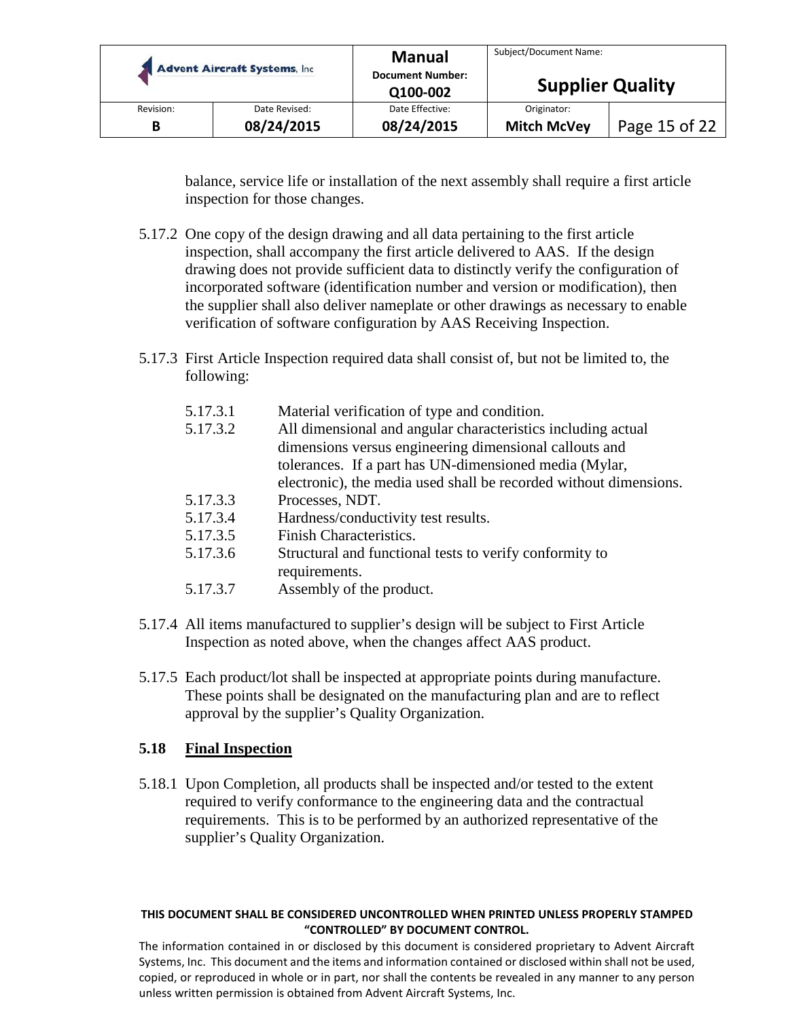|           | <b>Advent Aircraft Systems, Inc.</b> | <b>Manual</b><br><b>Document Number:</b><br>Q100-002 | Subject/Document Name:<br><b>Supplier Quality</b> |               |
|-----------|--------------------------------------|------------------------------------------------------|---------------------------------------------------|---------------|
| Revision: | Date Revised:                        | Date Effective:                                      | Originator:                                       | Page 15 of 22 |
| B         | 08/24/2015                           | 08/24/2015                                           | <b>Mitch McVey</b>                                |               |

balance, service life or installation of the next assembly shall require a first article inspection for those changes.

- 5.17.2 One copy of the design drawing and all data pertaining to the first article inspection, shall accompany the first article delivered to AAS. If the design drawing does not provide sufficient data to distinctly verify the configuration of incorporated software (identification number and version or modification), then the supplier shall also deliver nameplate or other drawings as necessary to enable verification of software configuration by AAS Receiving Inspection.
- 5.17.3 First Article Inspection required data shall consist of, but not be limited to, the following:

| 5.17.3.1               | Material verification of type and condition.                      |
|------------------------|-------------------------------------------------------------------|
| 5.17.3.2               | All dimensional and angular characteristics including actual      |
|                        | dimensions versus engineering dimensional callouts and            |
|                        | tolerances. If a part has UN-dimensioned media (Mylar,            |
|                        | electronic), the media used shall be recorded without dimensions. |
| $\epsilon$ 17 $\Omega$ | n <b>in</b> m                                                     |

- 5.17.3.3 Processes, NDT.
- 5.17.3.4 Hardness/conductivity test results.
- 5.17.3.5 Finish Characteristics.
- 5.17.3.6 Structural and functional tests to verify conformity to requirements.
- 5.17.3.7 Assembly of the product.
- 5.17.4 All items manufactured to supplier's design will be subject to First Article Inspection as noted above, when the changes affect AAS product.
- 5.17.5 Each product/lot shall be inspected at appropriate points during manufacture. These points shall be designated on the manufacturing plan and are to reflect approval by the supplier's Quality Organization.

## **5.18 Final Inspection**

5.18.1 Upon Completion, all products shall be inspected and/or tested to the extent required to verify conformance to the engineering data and the contractual requirements. This is to be performed by an authorized representative of the supplier's Quality Organization.

#### **THIS DOCUMENT SHALL BE CONSIDERED UNCONTROLLED WHEN PRINTED UNLESS PROPERLY STAMPED "CONTROLLED" BY DOCUMENT CONTROL.**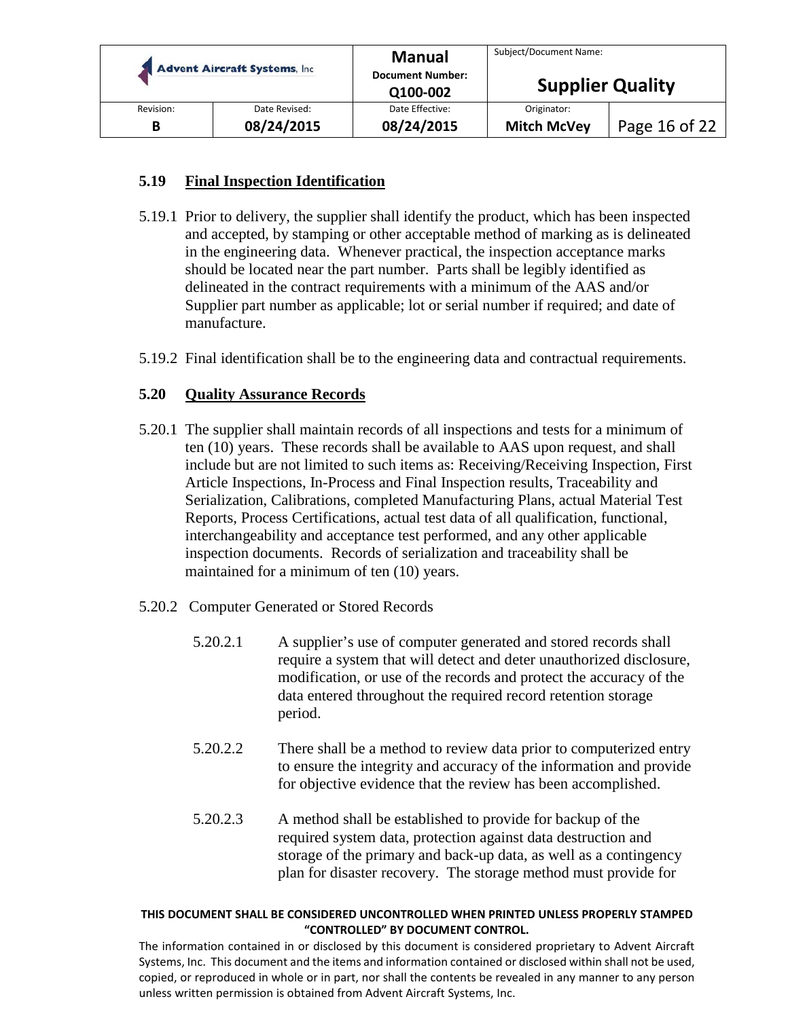|           | <b>Advent Aircraft Systems, Inc.</b> | <b>Manual</b><br><b>Document Number:</b><br>Q100-002 | Subject/Document Name:<br><b>Supplier Quality</b> |               |
|-----------|--------------------------------------|------------------------------------------------------|---------------------------------------------------|---------------|
| Revision: | Date Revised:                        | Date Effective:                                      | Originator:                                       |               |
| B         | 08/24/2015                           | 08/24/2015                                           | <b>Mitch McVey</b>                                | Page 16 of 22 |

## **5.19 Final Inspection Identification**

- 5.19.1 Prior to delivery, the supplier shall identify the product, which has been inspected and accepted, by stamping or other acceptable method of marking as is delineated in the engineering data. Whenever practical, the inspection acceptance marks should be located near the part number. Parts shall be legibly identified as delineated in the contract requirements with a minimum of the AAS and/or Supplier part number as applicable; lot or serial number if required; and date of manufacture.
- 5.19.2 Final identification shall be to the engineering data and contractual requirements.

## **5.20 Quality Assurance Records**

- 5.20.1 The supplier shall maintain records of all inspections and tests for a minimum of ten (10) years. These records shall be available to AAS upon request, and shall include but are not limited to such items as: Receiving/Receiving Inspection, First Article Inspections, In-Process and Final Inspection results, Traceability and Serialization, Calibrations, completed Manufacturing Plans, actual Material Test Reports, Process Certifications, actual test data of all qualification, functional, interchangeability and acceptance test performed, and any other applicable inspection documents. Records of serialization and traceability shall be maintained for a minimum of ten (10) years.
- 5.20.2 Computer Generated or Stored Records
	- 5.20.2.1 A supplier's use of computer generated and stored records shall require a system that will detect and deter unauthorized disclosure, modification, or use of the records and protect the accuracy of the data entered throughout the required record retention storage period.
	- 5.20.2.2 There shall be a method to review data prior to computerized entry to ensure the integrity and accuracy of the information and provide for objective evidence that the review has been accomplished.
	- 5.20.2.3 A method shall be established to provide for backup of the required system data, protection against data destruction and storage of the primary and back-up data, as well as a contingency plan for disaster recovery. The storage method must provide for

#### **THIS DOCUMENT SHALL BE CONSIDERED UNCONTROLLED WHEN PRINTED UNLESS PROPERLY STAMPED "CONTROLLED" BY DOCUMENT CONTROL.**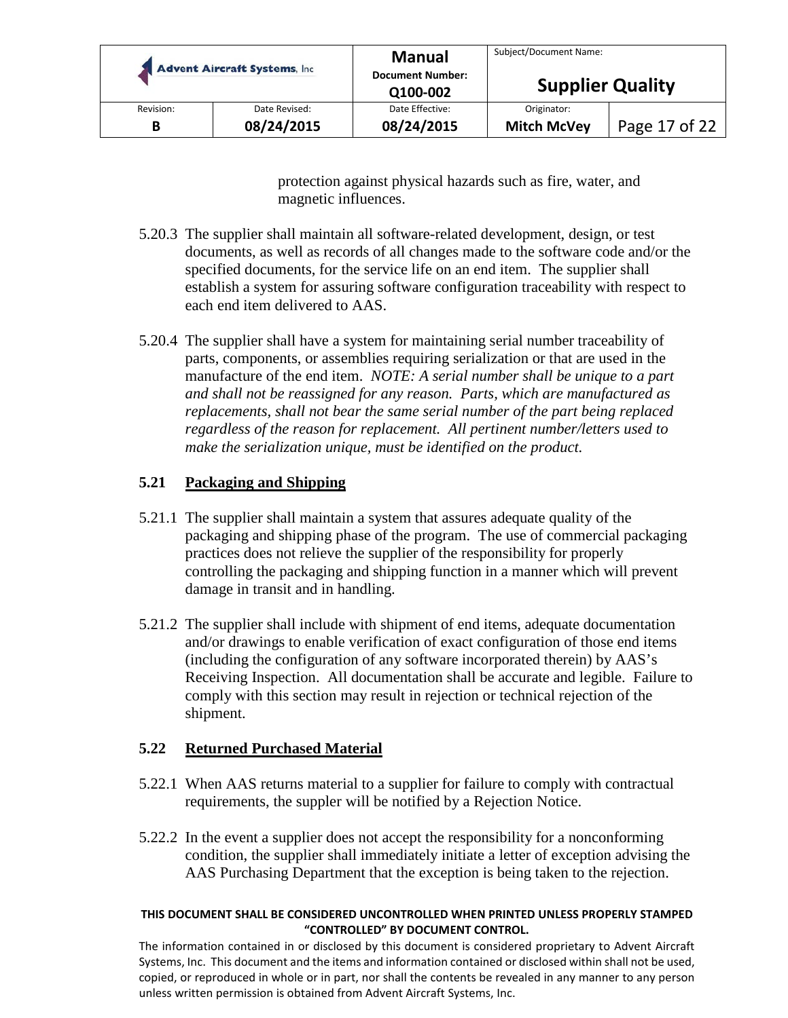|           | <b>Advent Aircraft Systems, Inc.</b> | <b>Manual</b><br><b>Document Number:</b><br>Q100-002 | Subject/Document Name:<br><b>Supplier Quality</b> |               |
|-----------|--------------------------------------|------------------------------------------------------|---------------------------------------------------|---------------|
| Revision: | Date Revised:                        | Date Effective:                                      | Originator:                                       |               |
| B         | 08/24/2015                           | 08/24/2015                                           | <b>Mitch McVey</b>                                | Page 17 of 22 |

protection against physical hazards such as fire, water, and magnetic influences.

- 5.20.3 The supplier shall maintain all software-related development, design, or test documents, as well as records of all changes made to the software code and/or the specified documents, for the service life on an end item. The supplier shall establish a system for assuring software configuration traceability with respect to each end item delivered to AAS.
- 5.20.4 The supplier shall have a system for maintaining serial number traceability of parts, components, or assemblies requiring serialization or that are used in the manufacture of the end item. *NOTE: A serial number shall be unique to a part and shall not be reassigned for any reason. Parts, which are manufactured as replacements, shall not bear the same serial number of the part being replaced regardless of the reason for replacement. All pertinent number/letters used to make the serialization unique, must be identified on the product.*

## **5.21 Packaging and Shipping**

- 5.21.1 The supplier shall maintain a system that assures adequate quality of the packaging and shipping phase of the program. The use of commercial packaging practices does not relieve the supplier of the responsibility for properly controlling the packaging and shipping function in a manner which will prevent damage in transit and in handling.
- 5.21.2 The supplier shall include with shipment of end items, adequate documentation and/or drawings to enable verification of exact configuration of those end items (including the configuration of any software incorporated therein) by AAS's Receiving Inspection. All documentation shall be accurate and legible. Failure to comply with this section may result in rejection or technical rejection of the shipment.

## **5.22 Returned Purchased Material**

- 5.22.1 When AAS returns material to a supplier for failure to comply with contractual requirements, the suppler will be notified by a Rejection Notice.
- 5.22.2 In the event a supplier does not accept the responsibility for a nonconforming condition, the supplier shall immediately initiate a letter of exception advising the AAS Purchasing Department that the exception is being taken to the rejection.

#### **THIS DOCUMENT SHALL BE CONSIDERED UNCONTROLLED WHEN PRINTED UNLESS PROPERLY STAMPED "CONTROLLED" BY DOCUMENT CONTROL.**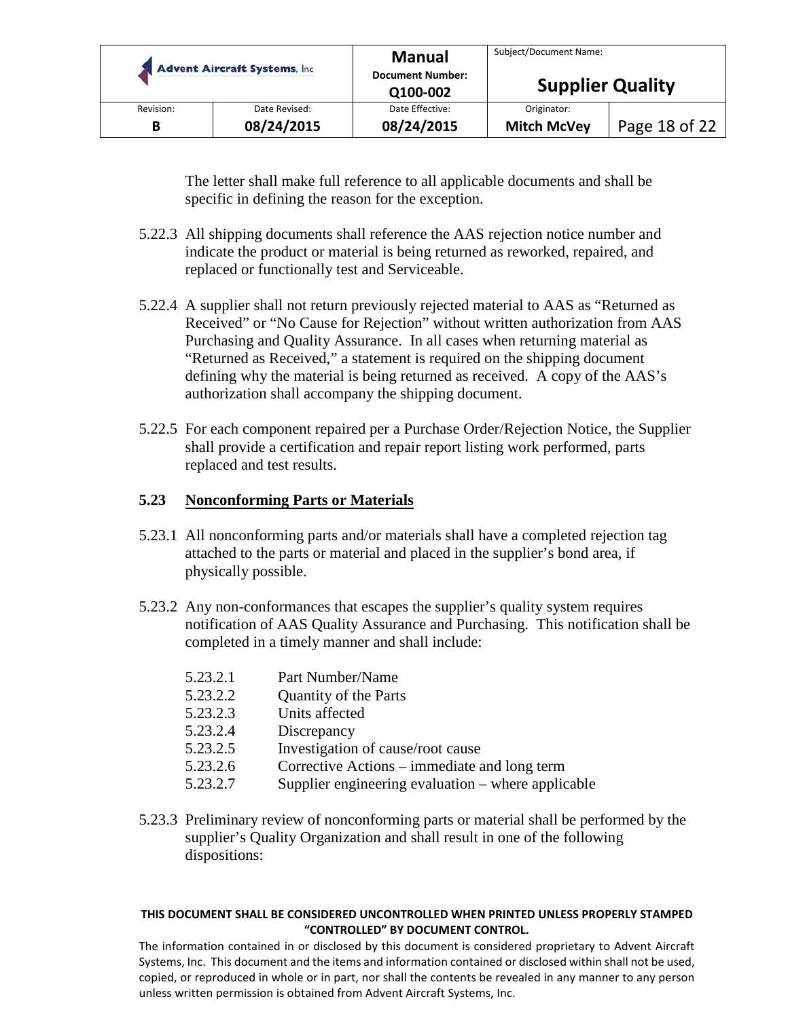|           | <b>Advent Aircraft Systems, Inc.</b> | <b>Manual</b><br><b>Document Number:</b><br>Q100-002 | Subject/Document Name:<br><b>Supplier Quality</b> |               |
|-----------|--------------------------------------|------------------------------------------------------|---------------------------------------------------|---------------|
| Revision: | Date Revised:                        | Date Effective:                                      | Originator:                                       | Page 18 of 22 |
| B         | 08/24/2015                           | 08/24/2015                                           | <b>Mitch McVey</b>                                |               |

The letter shall make full reference to all applicable documents and shall be specific in defining the reason for the exception.

- 5.22.3 All shipping documents shall reference the AAS rejection notice number and indicate the product or material is being returned as reworked, repaired, and replaced or functionally test and Serviceable.
- 5.22.4 A supplier shall not return previously rejected material to AAS as "Returned as Received" or "No Cause for Rejection" without written authorization from AAS Purchasing and Quality Assurance. In all cases when returning material as "Returned as Received," a statement is required on the shipping document defining why the material is being returned as received. A copy of the AAS's authorization shall accompany the shipping document.
- 5.22.5 For each component repaired per a Purchase Order/Rejection Notice, the Supplier shall provide a certification and repair report listing work performed, parts replaced and test results.

## **5.23 Nonconforming Parts or Materials**

- 5.23.1 All nonconforming parts and/or materials shall have a completed rejection tag attached to the parts or material and placed in the supplier's bond area, if physically possible.
- 5.23.2 Any non-conformances that escapes the supplier's quality system requires notification of AAS Quality Assurance and Purchasing. This notification shall be completed in a timely manner and shall include:
	- 5.23.2.1 Part Number/Name
	- 5.23.2.2 Quantity of the Parts
	- 5.23.2.3 Units affected
	- 5.23.2.4 Discrepancy
	- 5.23.2.5 Investigation of cause/root cause
	- 5.23.2.6 Corrective Actions immediate and long term
	- 5.23.2.7 Supplier engineering evaluation where applicable
- 5.23.3 Preliminary review of nonconforming parts or material shall be performed by the supplier's Quality Organization and shall result in one of the following dispositions:

#### **THIS DOCUMENT SHALL BE CONSIDERED UNCONTROLLED WHEN PRINTED UNLESS PROPERLY STAMPED "CONTROLLED" BY DOCUMENT CONTROL.**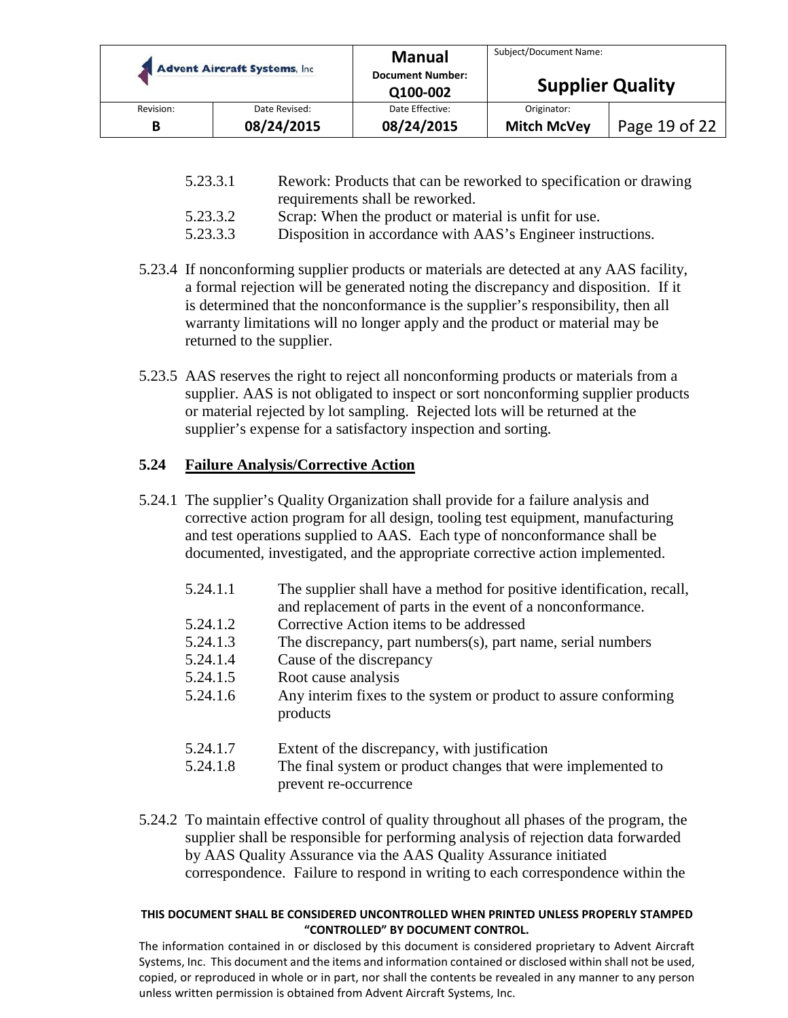|           | <b>Advent Aircraft Systems, Inc.</b> | <b>Manual</b><br><b>Document Number:</b><br>Q100-002 | Subject/Document Name:<br><b>Supplier Quality</b> |               |
|-----------|--------------------------------------|------------------------------------------------------|---------------------------------------------------|---------------|
| Revision: | Date Revised:                        | Date Effective:                                      | Originator:                                       |               |
| В         | 08/24/2015                           | 08/24/2015                                           | <b>Mitch McVey</b>                                | Page 19 of 22 |

| 5.23.3.1 | Rework: Products that can be reworked to specification or drawing |
|----------|-------------------------------------------------------------------|
|          | requirements shall be reworked.                                   |

- 5.23.3.2 Scrap: When the product or material is unfit for use.
- 5.23.3.3 Disposition in accordance with AAS's Engineer instructions.
- 5.23.4 If nonconforming supplier products or materials are detected at any AAS facility, a formal rejection will be generated noting the discrepancy and disposition. If it is determined that the nonconformance is the supplier's responsibility, then all warranty limitations will no longer apply and the product or material may be returned to the supplier.
- 5.23.5 AAS reserves the right to reject all nonconforming products or materials from a supplier. AAS is not obligated to inspect or sort nonconforming supplier products or material rejected by lot sampling. Rejected lots will be returned at the supplier's expense for a satisfactory inspection and sorting.

## **5.24 Failure Analysis/Corrective Action**

- 5.24.1 The supplier's Quality Organization shall provide for a failure analysis and corrective action program for all design, tooling test equipment, manufacturing and test operations supplied to AAS. Each type of nonconformance shall be documented, investigated, and the appropriate corrective action implemented.
	- 5.24.1.1 The supplier shall have a method for positive identification, recall,
	- and replacement of parts in the event of a nonconformance. 5.24.1.2 Corrective Action items to be addressed
	- 5.24.1.3 The discrepancy, part numbers(s), part name, serial numbers
	- 5.24.1.4 Cause of the discrepancy
	- 5.24.1.5 Root cause analysis
	- 5.24.1.6 Any interim fixes to the system or product to assure conforming products
	- 5.24.1.7 Extent of the discrepancy, with justification
	- 5.24.1.8 The final system or product changes that were implemented to prevent re-occurrence
- 5.24.2 To maintain effective control of quality throughout all phases of the program, the supplier shall be responsible for performing analysis of rejection data forwarded by AAS Quality Assurance via the AAS Quality Assurance initiated correspondence. Failure to respond in writing to each correspondence within the

#### **THIS DOCUMENT SHALL BE CONSIDERED UNCONTROLLED WHEN PRINTED UNLESS PROPERLY STAMPED "CONTROLLED" BY DOCUMENT CONTROL.**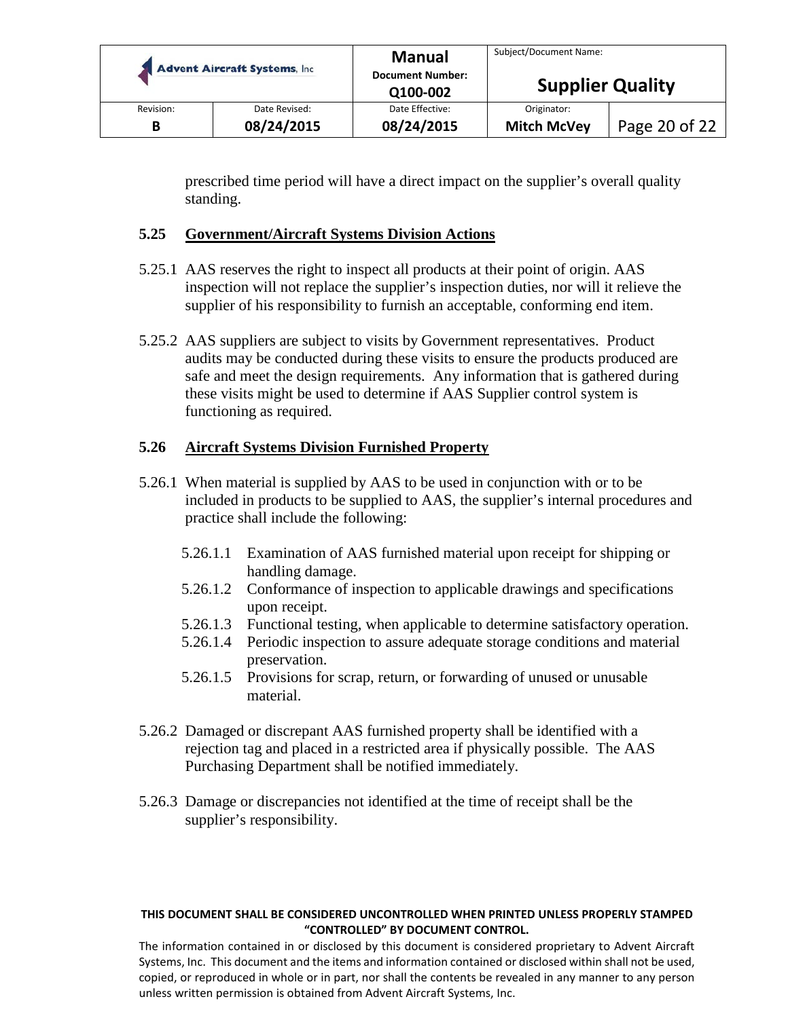| <b>Advent Aircraft Systems, Inc.</b> |               | <b>Manual</b><br><b>Document Number:</b><br>Q100-002 | Subject/Document Name:<br><b>Supplier Quality</b> |               |
|--------------------------------------|---------------|------------------------------------------------------|---------------------------------------------------|---------------|
| Revision:                            | Date Revised: | Date Effective:                                      | Originator:                                       |               |
| В                                    | 08/24/2015    | 08/24/2015                                           | <b>Mitch McVey</b>                                | Page 20 of 22 |

prescribed time period will have a direct impact on the supplier's overall quality standing.

## **5.25 Government/Aircraft Systems Division Actions**

- 5.25.1 AAS reserves the right to inspect all products at their point of origin. AAS inspection will not replace the supplier's inspection duties, nor will it relieve the supplier of his responsibility to furnish an acceptable, conforming end item.
- 5.25.2 AAS suppliers are subject to visits by Government representatives. Product audits may be conducted during these visits to ensure the products produced are safe and meet the design requirements. Any information that is gathered during these visits might be used to determine if AAS Supplier control system is functioning as required.

## **5.26 Aircraft Systems Division Furnished Property**

- 5.26.1 When material is supplied by AAS to be used in conjunction with or to be included in products to be supplied to AAS, the supplier's internal procedures and practice shall include the following:
	- 5.26.1.1 Examination of AAS furnished material upon receipt for shipping or handling damage.
	- 5.26.1.2 Conformance of inspection to applicable drawings and specifications upon receipt.
	- 5.26.1.3 Functional testing, when applicable to determine satisfactory operation.
	- 5.26.1.4 Periodic inspection to assure adequate storage conditions and material preservation.
	- 5.26.1.5 Provisions for scrap, return, or forwarding of unused or unusable material.
- 5.26.2 Damaged or discrepant AAS furnished property shall be identified with a rejection tag and placed in a restricted area if physically possible. The AAS Purchasing Department shall be notified immediately.
- 5.26.3 Damage or discrepancies not identified at the time of receipt shall be the supplier's responsibility.

#### **THIS DOCUMENT SHALL BE CONSIDERED UNCONTROLLED WHEN PRINTED UNLESS PROPERLY STAMPED "CONTROLLED" BY DOCUMENT CONTROL.**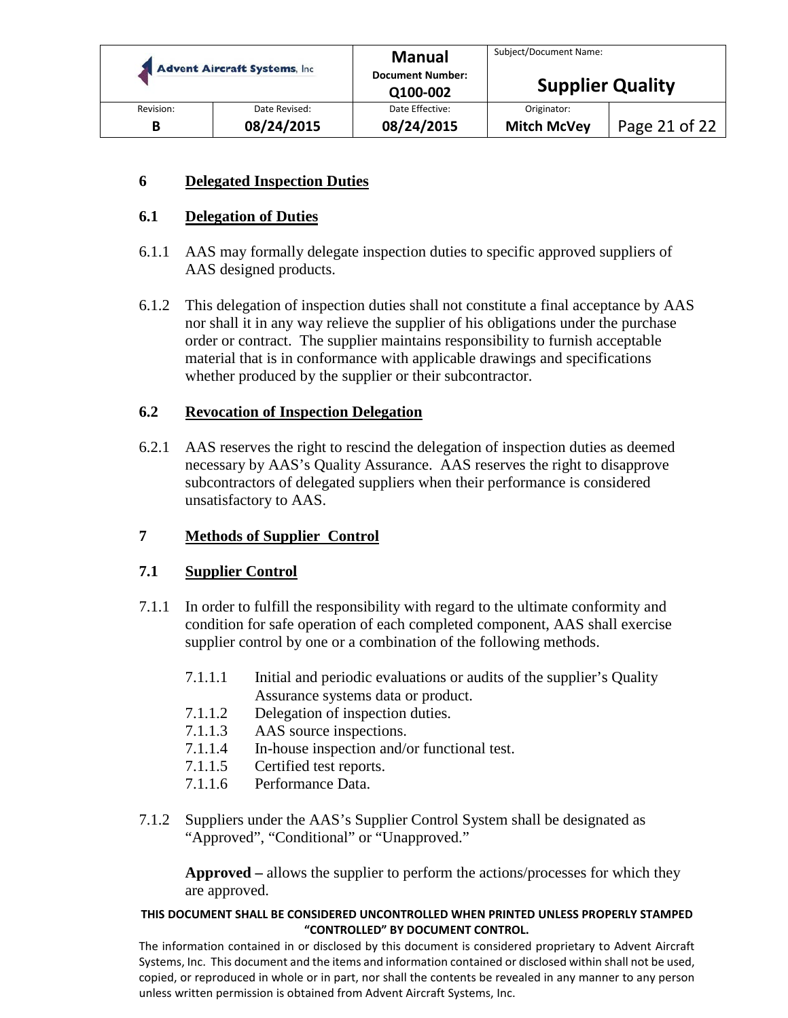| <b>Advent Aircraft Systems, Inc.</b> |               | <b>Manual</b>           | Subject/Document Name:  |               |
|--------------------------------------|---------------|-------------------------|-------------------------|---------------|
|                                      |               | <b>Document Number:</b> | <b>Supplier Quality</b> |               |
|                                      |               | Q100-002                |                         |               |
| Revision:                            | Date Revised: | Date Effective:         | Originator:             |               |
| В                                    | 08/24/2015    | 08/24/2015              | <b>Mitch McVey</b>      | Page 21 of 22 |

## **6 Delegated Inspection Duties**

## **6.1 Delegation of Duties**

- 6.1.1 AAS may formally delegate inspection duties to specific approved suppliers of AAS designed products.
- 6.1.2 This delegation of inspection duties shall not constitute a final acceptance by AAS nor shall it in any way relieve the supplier of his obligations under the purchase order or contract. The supplier maintains responsibility to furnish acceptable material that is in conformance with applicable drawings and specifications whether produced by the supplier or their subcontractor.

## **6.2 Revocation of Inspection Delegation**

6.2.1 AAS reserves the right to rescind the delegation of inspection duties as deemed necessary by AAS's Quality Assurance. AAS reserves the right to disapprove subcontractors of delegated suppliers when their performance is considered unsatisfactory to AAS.

## **7 Methods of Supplier Control**

## **7.1 Supplier Control**

- 7.1.1 In order to fulfill the responsibility with regard to the ultimate conformity and condition for safe operation of each completed component, AAS shall exercise supplier control by one or a combination of the following methods.
	- 7.1.1.1 Initial and periodic evaluations or audits of the supplier's Quality Assurance systems data or product.
	- 7.1.1.2 Delegation of inspection duties.
	- 7.1.1.3 AAS source inspections.
	- 7.1.1.4 In-house inspection and/or functional test.
	- 7.1.1.5 Certified test reports.
	- 7.1.1.6 Performance Data.
- 7.1.2 Suppliers under the AAS's Supplier Control System shall be designated as "Approved", "Conditional" or "Unapproved."

**Approved –** allows the supplier to perform the actions/processes for which they are approved.

#### **THIS DOCUMENT SHALL BE CONSIDERED UNCONTROLLED WHEN PRINTED UNLESS PROPERLY STAMPED "CONTROLLED" BY DOCUMENT CONTROL.**